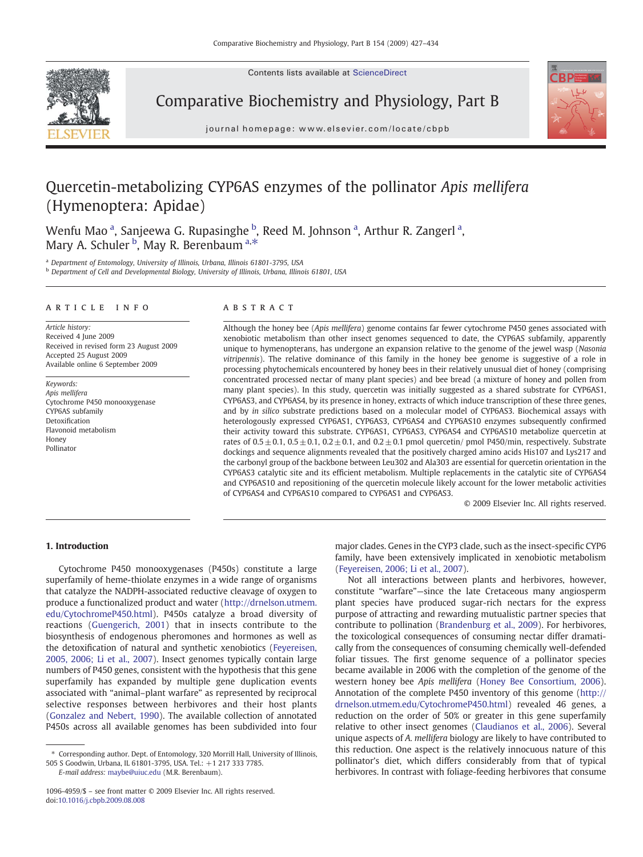Contents lists available at ScienceDirect



Comparative Biochemistry and Physiology, Part B



journal homepage: www.elsevier.com/locate/cbpb

# Quercetin-metabolizing CYP6AS enzymes of the pollinator Apis mellifera (Hymenoptera: Apidae)

Wenfu Mao <sup>a</sup>, Sanjeewa G. Rupasinghe <sup>b</sup>, Reed M. Johnson <sup>a</sup>, Arthur R. Zangerl <sup>a</sup>, Mary A. Schuler <sup>b</sup>, May R. Berenbaum <sup>a,\*</sup>

<sup>a</sup> Department of Entomology, University of Illinois, Urbana, Illinois 61801-3795, USA

<sup>b</sup> Department of Cell and Developmental Biology, University of Illinois, Urbana, Illinois 61801, USA

#### article info abstract

Article history: Received 4 June 2009 Received in revised form 23 August 2009 Accepted 25 August 2009 Available online 6 September 2009

Keywords: Apis mellifera Cytochrome P450 monooxygenase CYP6AS subfamily Detoxification Flavonoid metabolism Honey Pollinator

Although the honey bee (Apis mellifera) genome contains far fewer cytochrome P450 genes associated with xenobiotic metabolism than other insect genomes sequenced to date, the CYP6AS subfamily, apparently unique to hymenopterans, has undergone an expansion relative to the genome of the jewel wasp (Nasonia vitripennis). The relative dominance of this family in the honey bee genome is suggestive of a role in processing phytochemicals encountered by honey bees in their relatively unusual diet of honey (comprising concentrated processed nectar of many plant species) and bee bread (a mixture of honey and pollen from many plant species). In this study, quercetin was initially suggested as a shared substrate for CYP6AS1, CYP6AS3, and CYP6AS4, by its presence in honey, extracts of which induce transcription of these three genes, and by in silico substrate predictions based on a molecular model of CYP6AS3. Biochemical assays with heterologously expressed CYP6AS1, CYP6AS3, CYP6AS4 and CYP6AS10 enzymes subsequently confirmed their activity toward this substrate. CYP6AS1, CYP6AS3, CYP6AS4 and CYP6AS10 metabolize quercetin at rates of  $0.5 \pm 0.1$ ,  $0.5 \pm 0.1$ ,  $0.2 \pm 0.1$ , and  $0.2 \pm 0.1$  pmol quercetin/ pmol P450/min, respectively. Substrate dockings and sequence alignments revealed that the positively charged amino acids His107 and Lys217 and the carbonyl group of the backbone between Leu302 and Ala303 are essential for quercetin orientation in the CYP6AS3 catalytic site and its efficient metabolism. Multiple replacements in the catalytic site of CYP6AS4 and CYP6AS10 and repositioning of the quercetin molecule likely account for the lower metabolic activities of CYP6AS4 and CYP6AS10 compared to CYP6AS1 and CYP6AS3.

© 2009 Elsevier Inc. All rights reserved.

# 1. Introduction

Cytochrome P450 monooxygenases (P450s) constitute a large superfamily of heme-thiolate enzymes in a wide range of organisms that catalyze the NADPH-associated reductive cleavage of oxygen to produce a functionalized product and water ([http://drnelson.utmem.](http://drnelson.utmem.edu/CytochromeP450.html) [edu/CytochromeP450.html](http://drnelson.utmem.edu/CytochromeP450.html)). P450s catalyze a broad diversity of reactions [\(Guengerich, 2001](#page-7-0)) that in insects contribute to the biosynthesis of endogenous pheromones and hormones as well as the detoxification of natural and synthetic xenobiotics [\(Feyereisen,](#page-7-0) [2005, 2006; Li et al., 2007\)](#page-7-0). Insect genomes typically contain large numbers of P450 genes, consistent with the hypothesis that this gene superfamily has expanded by multiple gene duplication events associated with "animal–plant warfare" as represented by reciprocal selective responses between herbivores and their host plants [\(Gonzalez and Nebert, 1990](#page-7-0)). The available collection of annotated P450s across all available genomes has been subdivided into four

E-mail address: [maybe@uiuc.edu](mailto:maybe@uiuc.edu) (M.R. Berenbaum).

major clades. Genes in the CYP3 clade, such as the insect-specific CYP6 family, have been extensively implicated in xenobiotic metabolism [\(Feyereisen, 2006; Li et al., 2007\)](#page-7-0).

Not all interactions between plants and herbivores, however, constitute "warfare"—since the late Cretaceous many angiosperm plant species have produced sugar-rich nectars for the express purpose of attracting and rewarding mutualistic partner species that contribute to pollination [\(Brandenburg et al., 2009](#page-7-0)). For herbivores, the toxicological consequences of consuming nectar differ dramatically from the consequences of consuming chemically well-defended foliar tissues. The first genome sequence of a pollinator species became available in 2006 with the completion of the genome of the western honey bee Apis mellifera ([Honey Bee Consortium, 2006](#page-7-0)). Annotation of the complete P450 inventory of this genome ([http://](http://drnelson.utmem.edu/CytochromeP450.html) [drnelson.utmem.edu/CytochromeP450.html\)](http://drnelson.utmem.edu/CytochromeP450.html) revealed 46 genes, a reduction on the order of 50% or greater in this gene superfamily relative to other insect genomes ([Claudianos et al., 2006](#page-7-0)). Several unique aspects of A. mellifera biology are likely to have contributed to this reduction. One aspect is the relatively innocuous nature of this pollinator's diet, which differs considerably from that of typical herbivores. In contrast with foliage-feeding herbivores that consume

<sup>⁎</sup> Corresponding author. Dept. of Entomology, 320 Morrill Hall, University of Illinois, 505 S Goodwin, Urbana, IL 61801-3795, USA. Tel.: +1 217 333 7785.

<sup>1096-4959/\$</sup> – see front matter © 2009 Elsevier Inc. All rights reserved. doi:[10.1016/j.cbpb.2009.08.008](http://dx.doi.org/10.1016/j.cbpb.2009.08.008)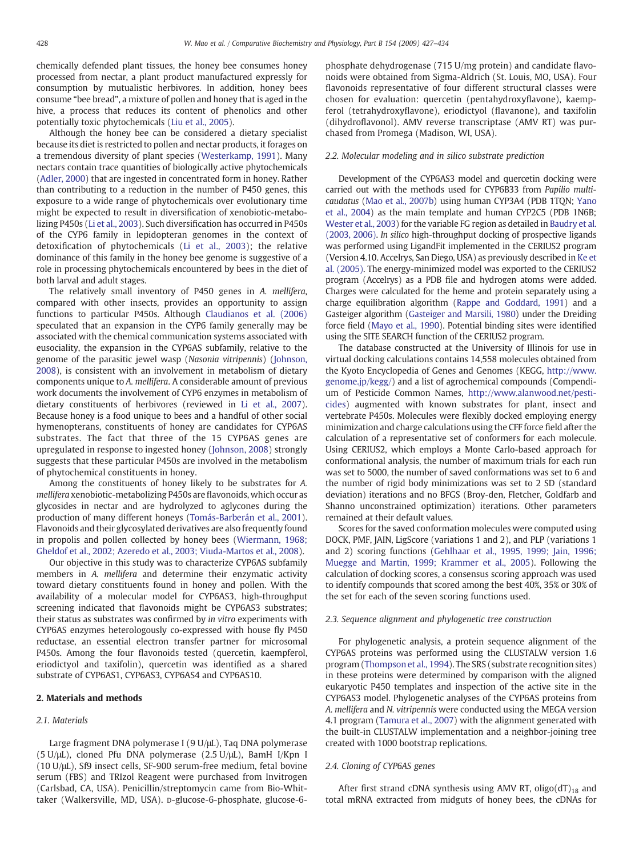chemically defended plant tissues, the honey bee consumes honey processed from nectar, a plant product manufactured expressly for consumption by mutualistic herbivores. In addition, honey bees consume "bee bread", a mixture of pollen and honey that is aged in the hive, a process that reduces its content of phenolics and other potentially toxic phytochemicals ([Liu et al., 2005\)](#page-7-0).

Although the honey bee can be considered a dietary specialist because its diet is restricted to pollen and nectar products, it forages on a tremendous diversity of plant species [\(Westerkamp, 1991](#page-7-0)). Many nectars contain trace quantities of biologically active phytochemicals [\(Adler, 2000\)](#page-7-0) that are ingested in concentrated form in honey. Rather than contributing to a reduction in the number of P450 genes, this exposure to a wide range of phytochemicals over evolutionary time might be expected to result in diversification of xenobiotic-metabolizing P450s ([Li et al., 2003](#page-7-0)). Such diversification has occurred in P450s of the CYP6 family in lepidopteran genomes in the context of detoxification of phytochemicals ([Li et al., 2003\)](#page-7-0); the relative dominance of this family in the honey bee genome is suggestive of a role in processing phytochemicals encountered by bees in the diet of both larval and adult stages.

The relatively small inventory of P450 genes in A. mellifera, compared with other insects, provides an opportunity to assign functions to particular P450s. Although [Claudianos et al. \(2006\)](#page-7-0) speculated that an expansion in the CYP6 family generally may be associated with the chemical communication systems associated with eusociality, the expansion in the CYP6AS subfamily, relative to the genome of the parasitic jewel wasp (Nasonia vitripennis) ([Johnson,](#page-7-0) [2008\)](#page-7-0), is consistent with an involvement in metabolism of dietary components unique to A. mellifera. A considerable amount of previous work documents the involvement of CYP6 enzymes in metabolism of dietary constituents of herbivores (reviewed in [Li et al., 2007](#page-7-0)). Because honey is a food unique to bees and a handful of other social hymenopterans, constituents of honey are candidates for CYP6AS substrates. The fact that three of the 15 CYP6AS genes are upregulated in response to ingested honey ([Johnson, 2008\)](#page-7-0) strongly suggests that these particular P450s are involved in the metabolism of phytochemical constituents in honey.

Among the constituents of honey likely to be substrates for A. mellifera xenobiotic-metabolizing P450s are flavonoids, which occur as glycosides in nectar and are hydrolyzed to aglycones during the production of many different honeys [\(Tomás-Barberán et al., 2001](#page-7-0)). Flavonoids and their glycosylated derivatives are also frequently found in propolis and pollen collected by honey bees ([Wiermann, 1968;](#page-7-0) [Gheldof et al., 2002; Azeredo et al., 2003; Viuda-Martos et al., 2008\)](#page-7-0).

Our objective in this study was to characterize CYP6AS subfamily members in A. mellifera and determine their enzymatic activity toward dietary constituents found in honey and pollen. With the availability of a molecular model for CYP6AS3, high-throughput screening indicated that flavonoids might be CYP6AS3 substrates; their status as substrates was confirmed by in vitro experiments with CYP6AS enzymes heterologously co-expressed with house fly P450 reductase, an essential electron transfer partner for microsomal P450s. Among the four flavonoids tested (quercetin, kaempferol, eriodictyol and taxifolin), quercetin was identified as a shared substrate of CYP6AS1, CYP6AS3, CYP6AS4 and CYP6AS10.

#### 2. Materials and methods

#### 2.1. Materials

Large fragment DNA polymerase I (9 U/μL), Taq DNA polymerase (5 U/μL), cloned Pfu DNA polymerase (2.5 U/μL), BamH I/Kpn I (10 U/μL), Sf9 insect cells, SF-900 serum-free medium, fetal bovine serum (FBS) and TRIzol Reagent were purchased from Invitrogen (Carlsbad, CA, USA). Penicillin/streptomycin came from Bio-Whittaker (Walkersville, MD, USA). D-glucose-6-phosphate, glucose-6phosphate dehydrogenase (715 U/mg protein) and candidate flavonoids were obtained from Sigma-Aldrich (St. Louis, MO, USA). Four flavonoids representative of four different structural classes were chosen for evaluation: quercetin (pentahydroxyflavone), kaempferol (tetrahydroxyflavone), eriodictyol (flavanone), and taxifolin (dihydroflavonol). AMV reverse transcriptase (AMV RT) was purchased from Promega (Madison, WI, USA).

#### 2.2. Molecular modeling and in silico substrate prediction

Development of the CYP6AS3 model and quercetin docking were carried out with the methods used for CYP6B33 from Papilio multicaudatus ([Mao et al., 2007b\)](#page-7-0) using human CYP3A4 (PDB 1TQN; [Yano](#page-7-0) [et al., 2004](#page-7-0)) as the main template and human CYP2C5 (PDB 1N6B; [Wester et al., 2003\)](#page-7-0) for the variable FG region as detailed in [Baudry et al.](#page-7-0) [\(2003, 2006\).](#page-7-0) In silico high-throughput docking of prospective ligands was performed using LigandFit implemented in the CERIUS2 program (Version 4.10. Accelrys, San Diego, USA) as previously described in [Ke et](#page-7-0) [al. \(2005\).](#page-7-0) The energy-minimized model was exported to the CERIUS2 program (Accelrys) as a PDB file and hydrogen atoms were added. Charges were calculated for the heme and protein separately using a charge equilibration algorithm [\(Rappe and Goddard, 1991\)](#page-7-0) and a Gasteiger algorithm ([Gasteiger and Marsili, 1980\)](#page-7-0) under the Dreiding force field [\(Mayo et al., 1990\)](#page-7-0). Potential binding sites were identified using the SITE SEARCH function of the CERIUS2 program.

The database constructed at the University of Illinois for use in virtual docking calculations contains 14,558 molecules obtained from the Kyoto Encyclopedia of Genes and Genomes (KEGG, [http://www.](http://www.genome.jp/kegg/) [genome.jp/kegg/\)](http://www.genome.jp/kegg/) and a list of agrochemical compounds (Compendium of Pesticide Common Names, [http://www.alanwood.net/pesti](http://www.alanwood.net/pesticides)[cides](http://www.alanwood.net/pesticides)) augmented with known substrates for plant, insect and vertebrate P450s. Molecules were flexibly docked employing energy minimization and charge calculations using the CFF force field after the calculation of a representative set of conformers for each molecule. Using CERIUS2, which employs a Monte Carlo-based approach for conformational analysis, the number of maximum trials for each run was set to 5000, the number of saved conformations was set to 6 and the number of rigid body minimizations was set to 2 SD (standard deviation) iterations and no BFGS (Broy-den, Fletcher, Goldfarb and Shanno unconstrained optimization) iterations. Other parameters remained at their default values.

Scores for the saved conformation molecules were computed using DOCK, PMF, JAIN, LigScore (variations 1 and 2), and PLP (variations 1 and 2) scoring functions [\(Gehlhaar et al., 1995, 1999; Jain, 1996;](#page-7-0) [Muegge and Martin, 1999; Krammer et al., 2005](#page-7-0)). Following the calculation of docking scores, a consensus scoring approach was used to identify compounds that scored among the best 40%, 35% or 30% of the set for each of the seven scoring functions used.

#### 2.3. Sequence alignment and phylogenetic tree construction

For phylogenetic analysis, a protein sequence alignment of the CYP6AS proteins was performed using the CLUSTALW version 1.6 program ([Thompson et al., 1994\)](#page-7-0). The SRS (substrate recognition sites) in these proteins were determined by comparison with the aligned eukaryotic P450 templates and inspection of the active site in the CYP6AS3 model. Phylogenetic analyses of the CYP6AS proteins from A. mellifera and N. vitripennis were conducted using the MEGA version 4.1 program [\(Tamura et al., 2007](#page-7-0)) with the alignment generated with the built-in CLUSTALW implementation and a neighbor-joining tree created with 1000 bootstrap replications.

#### 2.4. Cloning of CYP6AS genes

After first strand cDNA synthesis using AMV RT, oligo( $dT$ )<sub>18</sub> and total mRNA extracted from midguts of honey bees, the cDNAs for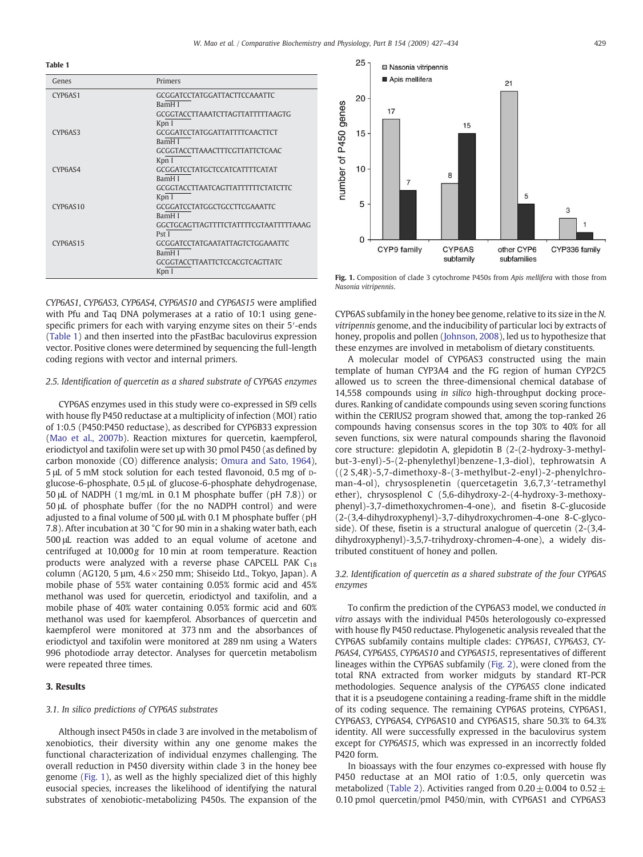Table 1

| Genes    | Primers                                           |
|----------|---------------------------------------------------|
| CYP6AS1  | <b>GCGGATCCTATGGATTACTTCCAAATTC</b><br>BamH I     |
|          | GCGGTACCTTAAATCTTAGTTATTTTTAAGTG<br>Kpn I         |
| CYP6AS3  | GCGGATCCTATGGATTATTTTCAACTTCT<br>BamH I           |
|          | <b>GCGGTACCTTAAACTTTCGTTATTCTCAAC</b><br>Kpn I    |
| CYP6AS4  | GCGGATCCTATGCTCCATCATTTTCATAT<br><b>BamHI</b>     |
|          | <i>GCGGTACCTTAATCAGTTATTTTTTCTATCTTC</i><br>Kpn I |
| CYP6AS10 | GCGGATCCTATGGCTGCCTTCGAAATTC<br>BamH I            |
|          | GGCTGCAGTTAGTTTTCTATTTTCGTAATTTTTAAAG<br>Pst I    |
| CYP6AS15 | GCGGATCCTATGAATATTAGTCTGGAAATTC<br>BamH I         |
|          | GCGGTACCTTAATTCTCCACGTCAGTTATC                    |
|          | Kpn I                                             |

CYP6AS1, CYP6AS3, CYP6AS4, CYP6AS10 and CYP6AS15 were amplified with Pfu and Taq DNA polymerases at a ratio of 10:1 using genespecific primers for each with varying enzyme sites on their 5′-ends (Table 1) and then inserted into the pFastBac baculovirus expression vector. Positive clones were determined by sequencing the full-length coding regions with vector and internal primers.

#### 2.5. Identification of quercetin as a shared substrate of CYP6AS enzymes

CYP6AS enzymes used in this study were co-expressed in Sf9 cells with house fly P450 reductase at a multiplicity of infection (MOI) ratio of 1:0.5 (P450:P450 reductase), as described for CYP6B33 expression [\(Mao et al., 2007b](#page-7-0)). Reaction mixtures for quercetin, kaempferol, eriodictyol and taxifolin were set up with 30 pmol P450 (as defined by carbon monoxide (CO) difference analysis; [Omura and Sato, 1964](#page-7-0)), 5 μL of 5 mM stock solution for each tested flavonoid, 0.5 mg of Dglucose-6-phosphate, 0.5 μL of glucose-6-phosphate dehydrogenase, 50 μL of NADPH (1 mg/mL in 0.1 M phosphate buffer (pH 7.8)) or 50 μL of phosphate buffer (for the no NADPH control) and were adjusted to a final volume of 500 μL with 0.1 M phosphate buffer (pH 7.8). After incubation at 30 °C for 90 min in a shaking water bath, each 500 μL reaction was added to an equal volume of acetone and centrifuged at 10,000g for 10 min at room temperature. Reaction products were analyzed with a reverse phase CAPCELL PAK  $C_{18}$ column (AG120, 5  $\mu$ m,  $4.6 \times 250$  mm; Shiseido Ltd., Tokyo, Japan). A mobile phase of 55% water containing 0.05% formic acid and 45% methanol was used for quercetin, eriodictyol and taxifolin, and a mobile phase of 40% water containing 0.05% formic acid and 60% methanol was used for kaempferol. Absorbances of quercetin and kaempferol were monitored at 373 nm and the absorbances of eriodictyol and taxifolin were monitored at 289 nm using a Waters 996 photodiode array detector. Analyses for quercetin metabolism were repeated three times.

# 3. Results

# 3.1. In silico predictions of CYP6AS substrates

Although insect P450s in clade 3 are involved in the metabolism of xenobiotics, their diversity within any one genome makes the functional characterization of individual enzymes challenging. The overall reduction in P450 diversity within clade 3 in the honey bee genome (Fig. 1), as well as the highly specialized diet of this highly eusocial species, increases the likelihood of identifying the natural substrates of xenobiotic-metabolizing P450s. The expansion of the



Fig. 1. Composition of clade 3 cytochrome P450s from Apis mellifera with those from Nasonia vitripennis.

CYP6AS subfamily in the honey bee genome, relative to its size in the N. vitripennis genome, and the inducibility of particular loci by extracts of honey, propolis and pollen [\(Johnson, 2008](#page-7-0)), led us to hypothesize that these enzymes are involved in metabolism of dietary constituents.

A molecular model of CYP6AS3 constructed using the main template of human CYP3A4 and the FG region of human CYP2C5 allowed us to screen the three-dimensional chemical database of 14,558 compounds using in silico high-throughput docking procedures. Ranking of candidate compounds using seven scoring functions within the CERIUS2 program showed that, among the top-ranked 26 compounds having consensus scores in the top 30% to 40% for all seven functions, six were natural compounds sharing the flavonoid core structure: glepidotin A, glepidotin B (2-(2-hydroxy-3-methylbut-3-enyl)-5-(2-phenylethyl)benzene-1,3-diol), tephrowatsin A ((2 S,4R)-5,7-dimethoxy-8-(3-methylbut-2-enyl)-2-phenylchroman-4-ol), chrysosplenetin (quercetagetin 3,6,7,3′-tetramethyl ether), chrysosplenol C (5,6-dihydroxy-2-(4-hydroxy-3-methoxyphenyl)-3,7-dimethoxychromen-4-one), and fisetin 8-C-glucoside (2-(3,4-dihydroxyphenyl)-3,7-dihydroxychromen-4-one 8-C-glycoside). Of these, fisetin is a structural analogue of quercetin (2-(3,4 dihydroxyphenyl)-3,5,7-trihydroxy-chromen-4-one), a widely distributed constituent of honey and pollen.

### 3.2. Identification of quercetin as a shared substrate of the four CYP6AS enzymes

To confirm the prediction of the CYP6AS3 model, we conducted in vitro assays with the individual P450s heterologously co-expressed with house fly P450 reductase. Phylogenetic analysis revealed that the CYP6AS subfamily contains multiple clades: CYP6AS1, CYP6AS3, CY-P6AS4, CYP6AS5, CYP6AS10 and CYP6AS15, representatives of different lineages within the CYP6AS subfamily [\(Fig. 2\)](#page-3-0), were cloned from the total RNA extracted from worker midguts by standard RT-PCR methodologies. Sequence analysis of the CYP6AS5 clone indicated that it is a pseudogene containing a reading-frame shift in the middle of its coding sequence. The remaining CYP6AS proteins, CYP6AS1, CYP6AS3, CYP6AS4, CYP6AS10 and CYP6AS15, share 50.3% to 64.3% identity. All were successfully expressed in the baculovirus system except for CYP6AS15, which was expressed in an incorrectly folded P420 form.

In bioassays with the four enzymes co-expressed with house fly P450 reductase at an MOI ratio of 1:0.5, only quercetin was metabolized [\(Table 2](#page-3-0)). Activities ranged from  $0.20 \pm 0.004$  to  $0.52 \pm$ 0.10 pmol quercetin/pmol P450/min, with CYP6AS1 and CYP6AS3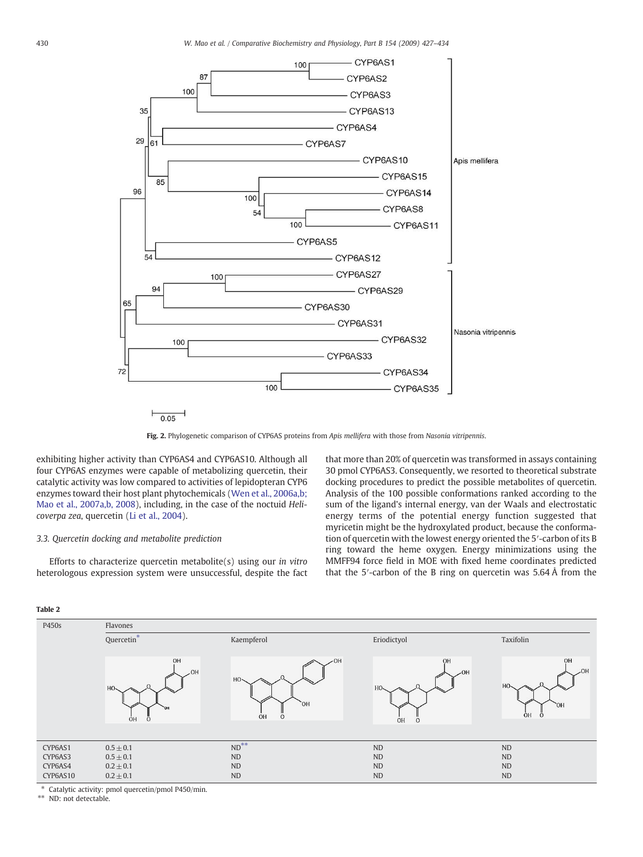<span id="page-3-0"></span>

Fig. 2. Phylogenetic comparison of CYP6AS proteins from Apis mellifera with those from Nasonia vitripennis.

exhibiting higher activity than CYP6AS4 and CYP6AS10. Although all four CYP6AS enzymes were capable of metabolizing quercetin, their catalytic activity was low compared to activities of lepidopteran CYP6 enzymes toward their host plant phytochemicals [\(Wen et al., 2006a,b;](#page-7-0) [Mao et al., 2007a,b, 2008](#page-7-0)), including, in the case of the noctuid Helicoverpa zea, quercetin ([Li et al., 2004\)](#page-7-0).

# 3.3. Quercetin docking and metabolite prediction

Efforts to characterize quercetin metabolite $(s)$  using our in vitro heterologous expression system were unsuccessful, despite the fact that more than 20% of quercetin was transformed in assays containing 30 pmol CYP6AS3. Consequently, we resorted to theoretical substrate docking procedures to predict the possible metabolites of quercetin. Analysis of the 100 possible conformations ranked according to the sum of the ligand's internal energy, van der Waals and electrostatic energy terms of the potential energy function suggested that myricetin might be the hydroxylated product, because the conformation of quercetin with the lowest energy oriented the 5′-carbon of its B ring toward the heme oxygen. Energy minimizations using the MMFF94 force field in MOE with fixed heme coordinates predicted that the 5′-carbon of the B ring on quercetin was 5.64 Å from the



| P450s    | Flavones                                          |                                             |                                      |                                                 |  |  |
|----------|---------------------------------------------------|---------------------------------------------|--------------------------------------|-------------------------------------------------|--|--|
|          | Quercetin <sup>*</sup>                            | Kaempferol                                  | Eriodictyol                          | Taxifolin                                       |  |  |
|          | OH<br>$-OH$<br>HO <sub>2</sub><br><b>OH</b><br>ÓΗ | $-OH$<br>HO-<br>`OH<br><b>OH</b><br>$\circ$ | OH<br>$-OH$<br>HO-<br>OH<br>$\Omega$ | OH<br>$-OH$<br>H <sub>O</sub><br>`OH<br>ÒН<br>O |  |  |
|          |                                                   |                                             |                                      |                                                 |  |  |
| CYP6AS1  | $0.5 \pm 0.1$                                     | $ND$ <sup>**</sup>                          | <b>ND</b>                            | <b>ND</b>                                       |  |  |
| CYP6AS3  | $0.5 \pm 0.1$                                     | <b>ND</b>                                   | <b>ND</b>                            | <b>ND</b>                                       |  |  |
| CYP6AS4  | $0.2 \pm 0.1$                                     | <b>ND</b>                                   | <b>ND</b>                            | <b>ND</b>                                       |  |  |
| CYP6AS10 | $0.2 \pm 0.1$                                     | <b>ND</b>                                   | <b>ND</b>                            | <b>ND</b>                                       |  |  |

Catalytic activity: pmol quercetin/pmol P450/min.

\*\* ND: not detectable.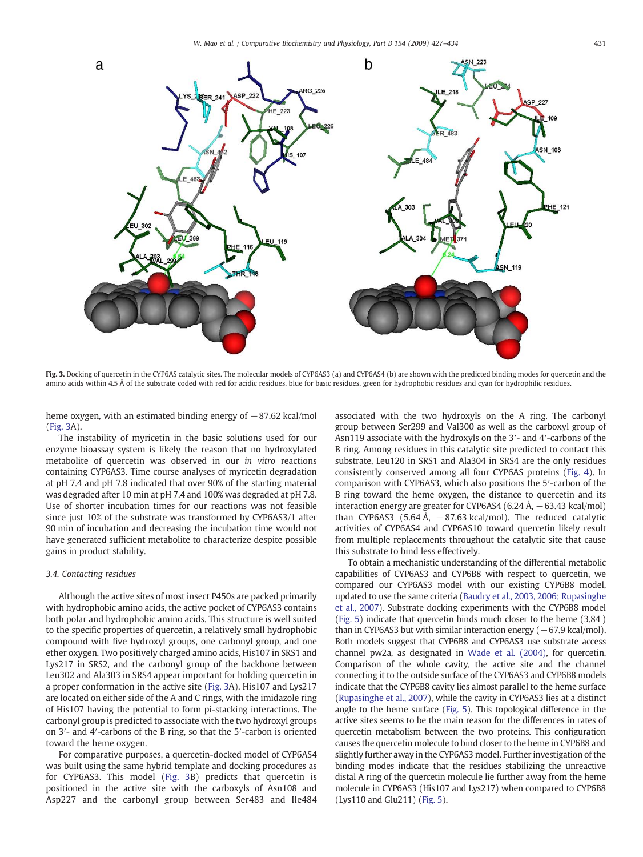

Fig. 3. Docking of quercetin in the CYP6AS catalytic sites. The molecular models of CYP6AS3 (a) and CYP6AS4 (b) are shown with the predicted binding modes for quercetin and the amino acids within 4.5 Å of the substrate coded with red for acidic residues, blue for basic residues, green for hydrophobic residues and cyan for hydrophilic residues.

heme oxygen, with an estimated binding energy of  $-87.62$  kcal/mol (Fig. 3A).

The instability of myricetin in the basic solutions used for our enzyme bioassay system is likely the reason that no hydroxylated metabolite of quercetin was observed in our in vitro reactions containing CYP6AS3. Time course analyses of myricetin degradation at pH 7.4 and pH 7.8 indicated that over 90% of the starting material was degraded after 10 min at pH 7.4 and 100% was degraded at pH 7.8. Use of shorter incubation times for our reactions was not feasible since just 10% of the substrate was transformed by CYP6AS3/1 after 90 min of incubation and decreasing the incubation time would not have generated sufficient metabolite to characterize despite possible gains in product stability.

#### 3.4. Contacting residues

Although the active sites of most insect P450s are packed primarily with hydrophobic amino acids, the active pocket of CYP6AS3 contains both polar and hydrophobic amino acids. This structure is well suited to the specific properties of quercetin, a relatively small hydrophobic compound with five hydroxyl groups, one carbonyl group, and one ether oxygen. Two positively charged amino acids, His107 in SRS1 and Lys217 in SRS2, and the carbonyl group of the backbone between Leu302 and Ala303 in SRS4 appear important for holding quercetin in a proper conformation in the active site (Fig. 3A). His107 and Lys217 are located on either side of the A and C rings, with the imidazole ring of His107 having the potential to form pi-stacking interactions. The carbonyl group is predicted to associate with the two hydroxyl groups on 3′- and 4′-carbons of the B ring, so that the 5′-carbon is oriented toward the heme oxygen.

For comparative purposes, a quercetin-docked model of CYP6AS4 was built using the same hybrid template and docking procedures as for CYP6AS3. This model (Fig. 3B) predicts that quercetin is positioned in the active site with the carboxyls of Asn108 and Asp227 and the carbonyl group between Ser483 and Ile484 associated with the two hydroxyls on the A ring. The carbonyl group between Ser299 and Val300 as well as the carboxyl group of Asn119 associate with the hydroxyls on the 3′- and 4′-carbons of the B ring. Among residues in this catalytic site predicted to contact this substrate, Leu120 in SRS1 and Ala304 in SRS4 are the only residues consistently conserved among all four CYP6AS proteins [\(Fig. 4\)](#page-5-0). In comparison with CYP6AS3, which also positions the 5′-carbon of the B ring toward the heme oxygen, the distance to quercetin and its interaction energy are greater for CYP6AS4 (6.24 Å,  $-63.43$  kcal/mol) than CYP6AS3 (5.64 Å,  $-87.63$  kcal/mol). The reduced catalytic activities of CYP6AS4 and CYP6AS10 toward quercetin likely result from multiple replacements throughout the catalytic site that cause this substrate to bind less effectively.

To obtain a mechanistic understanding of the differential metabolic capabilities of CYP6AS3 and CYP6B8 with respect to quercetin, we compared our CYP6AS3 model with our existing CYP6B8 model, updated to use the same criteria [\(Baudry et al., 2003, 2006; Rupasinghe](#page-7-0) [et al., 2007](#page-7-0)). Substrate docking experiments with the CYP6B8 model [\(Fig. 5](#page-6-0)) indicate that quercetin binds much closer to the heme (3.84 ) than in CYP6AS3 but with similar interaction energy  $(-67.9 \text{ kcal/mol})$ . Both models suggest that CYP6B8 and CYP6AS3 use substrate access channel pw2a, as designated in [Wade et al. \(2004\)](#page-7-0), for quercetin. Comparison of the whole cavity, the active site and the channel connecting it to the outside surface of the CYP6AS3 and CYP6B8 models indicate that the CYP6B8 cavity lies almost parallel to the heme surface [\(Rupasinghe et al., 2007](#page-7-0)), while the cavity in CYP6AS3 lies at a distinct angle to the heme surface [\(Fig. 5\)](#page-6-0). This topological difference in the active sites seems to be the main reason for the differences in rates of quercetin metabolism between the two proteins. This configuration causes the quercetin molecule to bind closer to the heme in CYP6B8 and slightly further away in the CYP6AS3 model. Further investigation of the binding modes indicate that the residues stabilizing the unreactive distal A ring of the quercetin molecule lie further away from the heme molecule in CYP6AS3 (His107 and Lys217) when compared to CYP6B8 (Lys110 and Glu211) [\(Fig. 5\)](#page-3-0).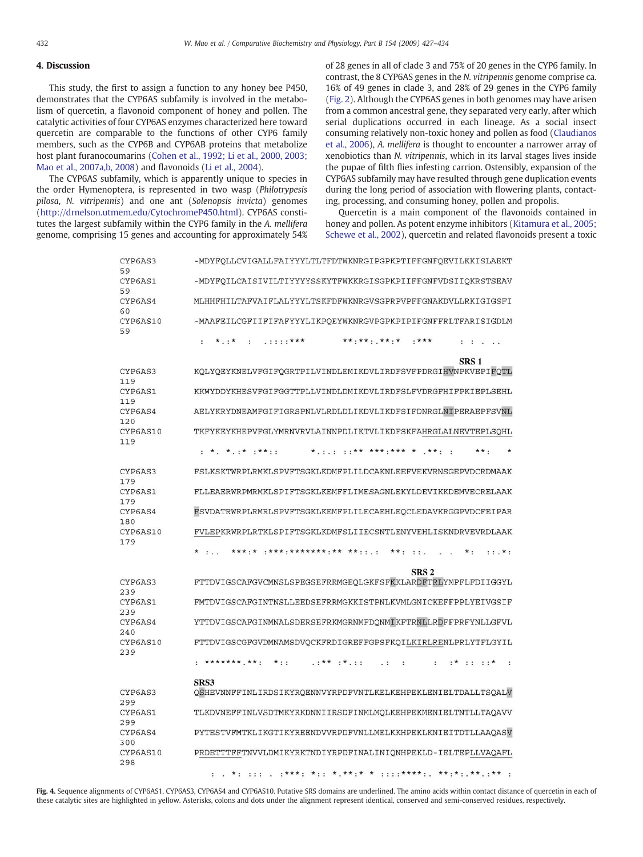# <span id="page-5-0"></span>4. Discussion

This study, the first to assign a function to any honey bee P450, demonstrates that the CYP6AS subfamily is involved in the metabolism of quercetin, a flavonoid component of honey and pollen. The catalytic activities of four CYP6AS enzymes characterized here toward quercetin are comparable to the functions of other CYP6 family members, such as the CYP6B and CYP6AB proteins that metabolize host plant furanocoumarins ([Cohen et al., 1992; Li et al., 2000, 2003;](#page-7-0) [Mao et al., 2007a,b, 2008\)](#page-7-0) and flavonoids [\(Li et al., 2004\)](#page-7-0).

The CYP6AS subfamily, which is apparently unique to species in the order Hymenoptera, is represented in two wasp (Philotrypesis pilosa, N. vitripennis) and one ant (Solenopsis invicta) genomes [\(http://drnelson.utmem.edu/CytochromeP450.html\)](http://drnelson.utmem.edu/CytochromeP450.html). CYP6AS constitutes the largest subfamily within the CYP6 family in the A. mellifera genome, comprising 15 genes and accounting for approximately 54% of 28 genes in all of clade 3 and 75% of 20 genes in the CYP6 family. In contrast, the 8 CYP6AS genes in the N. vitripennis genome comprise ca. 16% of 49 genes in clade 3, and 28% of 29 genes in the CYP6 family [\(Fig. 2](#page-3-0)). Although the CYP6AS genes in both genomes may have arisen from a common ancestral gene, they separated very early, after which serial duplications occurred in each lineage. As a social insect consuming relatively non-toxic honey and pollen as food [\(Claudianos](#page-7-0) [et al., 2006](#page-7-0)), A. mellifera is thought to encounter a narrower array of xenobiotics than N. vitripennis, which in its larval stages lives inside the pupae of filth flies infesting carrion. Ostensibly, expansion of the CYP6AS subfamily may have resulted through gene duplication events during the long period of association with flowering plants, contacting, processing, and consuming honey, pollen and propolis.

Quercetin is a main component of the flavonoids contained in honey and pollen. As potent enzyme inhibitors [\(Kitamura et al., 2005;](#page-7-0) [Schewe et al., 2002](#page-7-0)), quercetin and related flavonoids present a toxic

| CYP6AS3<br>59         | -MDYFOLLCVIGALLFAIYYYLTLTFDTWKNRGIPGPKPTIFFGNFOEVILKKISLAEKT                                                                          |
|-----------------------|---------------------------------------------------------------------------------------------------------------------------------------|
| CYP6AS1<br>59         | -MDYFOILCAISIVILTIYYYYSSKYTFWKKRGISGPKPIIFFGNFVDSIIOKRSTSEAV                                                                          |
| CYP6AS4<br>60         | MLHHFHILTAFVAIFLALYYYLTSKFDFWKNRGVSGPRPVPFFGNAKDVLLRKIGIGSFI                                                                          |
| CYP6AS10<br>59        | -MAAFEILCGFIIFIFAFYYYLIKPOEYWKNRGVPGPKPIPIFGNFFRLTFARISIGDLM                                                                          |
|                       | $. : : : : **$<br>** ** * * * * *<br>$***$<br>$\star$ . $\star$<br>$\sim$<br>$\mathbf{1}$ , $\mathbf{1}$ , $\mathbf{1}$               |
| CYP6AS3               | SRS <sub>1</sub><br>KOLYOEYKNELVFGIFOGRTPILVINDLEMIKDVLIRDFSVFPDRGIHVNPKVEPIFOTL                                                      |
| 119<br>CYP6AS1<br>119 | KKWYDDYKHESVFGIFGGTTPLLVINDLDMIKDVLIRDFSLFVDRGFHIFPKIEPLSEHL                                                                          |
| CYP6AS4<br>120        | AELYKRYDNEAMFGIFIGRSPNLVLRDLDLIKDVLIKDFSIFDNRGLNIPERAEPFSVNL                                                                          |
| CYP6AS10<br>119       | TKFYKEYKHEPVFGLYMRNVRVLAINNPDLIKTVLIKDFSKFAHRGLALNEVTEPLSOHL                                                                          |
|                       | $\star$ $\star$ $\cdot$ $\star$ $\cdot$ $\star$ $\star$ $\cdot$ $\cdot$<br>*** *** .*** *<br>$***$ .                                  |
| CYP6AS3<br>179        | FSLKSKTWRPLRMKLSPVFTSGKLKDMFPLILDCAKNLEEFVEKVRNSGEPVDCRDMAAK                                                                          |
| CYP6AS1<br>179        | FLLEAERWRPMRMKLSPIFTSGKLKEMFFLIMESAGNLEKYLDEVIKKDEMVECRELAAK                                                                          |
| CYP6AS4<br>180        | FSVDATRWRPLRMRLSPVFTSGKLKEMFPLILECAEHLEOCLEDAVKRGGPVDCFEIPAR                                                                          |
| CYP6AS10<br>179       | FVLEPKRWRPLRTKLSPIFTSGKLKDMFSLIIECSNTLENYVEHLISKNDRVEVRDLAAK                                                                          |
|                       | $\star$ :<br>$***$ :<br>$: :.*:$<br>$\cdot$ .                                                                                         |
| CYP6AS3               | SRS <sub>2</sub><br>FTTDVIGSCAFGVCMNSLSPEGSEFRRMGEOLGKFSFKKLARDFTRLYMPFLFDIIGGYL                                                      |
| 239<br>CYP6AS1<br>239 | FMTDVIGSCAFGINTNSLLEEDSEFRRMGKKISTPNLKVMLGNICKEFFPPLYEIVGSIF                                                                          |
| CYP6AS4<br>240        | YTTDVIGSCAFGINMNALSDERSEFRKMGRNMFDQNMIKFTRNLLRDFFPRFYNLLGFVL                                                                          |
| CYP6AS10<br>239       | FTTDVIGSCGFGVDMNAMSDVOCKFRDIGREFFGPSFKOILKIRLRENLPRLYTFLGYIL                                                                          |
|                       | ******** ** :<br>$*$ ::<br>$***$ $$<br>$: *$<br>$\cdot$ $\cdot$ $\star$<br>$\ddot{\cdot}$<br>$\cdot$ .<br>$\ddot{\phantom{a}}$<br>. : |
| CYP6AS3               | SRS3<br>OSHEVNNFFINLIRDSIKYROENNVYRPDFVNTLKELKEHPEKLENIELTDALLTSOALV                                                                  |
| 299                   |                                                                                                                                       |
| CYP6AS1<br>299        | TLKDVNEFFINLVSDTMKYRKDNNIIRSDFINMLMOLKEHPEKMENIELTNTLLTAOAVV                                                                          |
| CYP6AS4<br>300        | PYTESTVFMTKLIKGTIKYREENDVVRPDFVNLLMELKKHPEKLKNIEITDTLLAAOASV                                                                          |
| CYP6AS10<br>298       | PRDETTTFFTNVVLDMIKYRKTNDIYRPDFINALINIQNHPEKLD-IELTEPLLVAQAFL                                                                          |
|                       | $: : : \star \star \star \star :$<br>$***.*:***$<br>$. :$ **<br>$*$ : ::: . :***:<br>$\ddot{\cdot}$                                   |

Fig. 4. Sequence alignments of CYP6AS1, CYP6AS3, CYP6AS4 and CYP6AS10. Putative SRS domains are underlined. The amino acids within contact distance of quercetin in each of these catalytic sites are highlighted in yellow. Asterisks, colons and dots under the alignment represent identical, conserved and semi-conserved residues, respectively.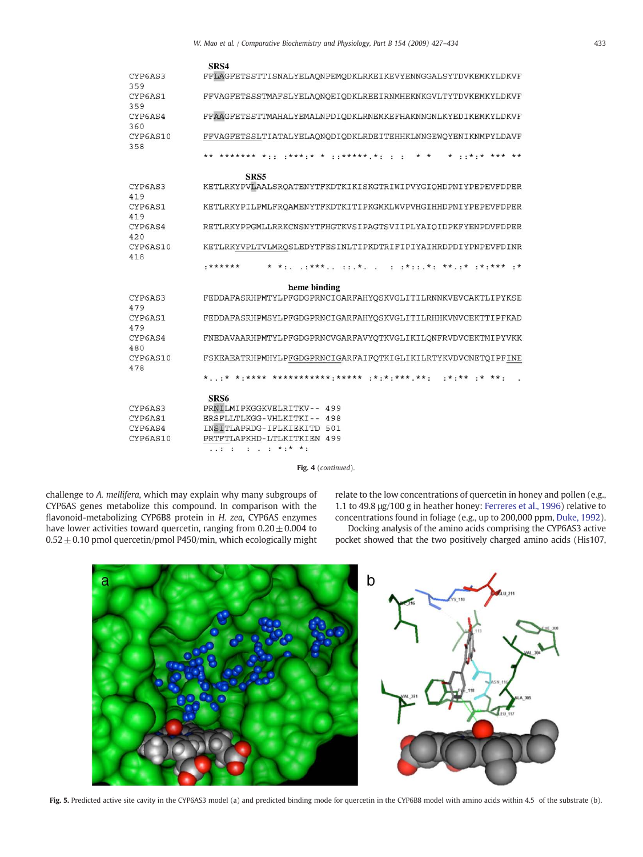<span id="page-6-0"></span>

|                 | SRS4                                                             |
|-----------------|------------------------------------------------------------------|
| CYP6AS3<br>359  | FFLAGFETSSTTISNALYELAQNPEMQDKLRKEIKEVYENNGGALSYTDVKEMKYLDKVF     |
| CYP6AS1<br>359  | FFVAGFETSSSTMAFSLYELAONOEIODKLREEIRNMHEKNKGVLTYTDVKEMKYLDKVF     |
| CYP6AS4<br>360  | FFAAGFETSSTTMAHALYEMALNPDIODKLRNEMKEFHAKNNGNLKYEDIKEMKYLDKVF     |
| CYP6AS10<br>358 | FFVAGFETSSLTIATALYELAONODIODKLRDEITEHHKLNNGEWOYENIKNMPYLDAVF     |
|                 | $*******$<br>******* **** . * *<br>. . * . * * * * * * *         |
|                 | SRS5                                                             |
| CYP6AS3<br>419  | KETLRKYPVLAALSRQATENYTFKDTKIKISKGTRIWIPVYGIQHDPNIYPEPEVFDPER     |
| CYP6AS1<br>419  | KETLRKYPILPMLFROAMENYTFKDTKITIPKGMKLWVPVHGIHHDPNIYPEPEVFDPER     |
| CYP6AS4<br>420  | RETLRKYPPGMLLRRKCNSNYTFHGTKVSIPAGTSVIIPLYAIOIDPKFYENPDVFDPER     |
| CYP6AS10<br>418 | KETLRKYVPLTVLMRQSLEDYTFESINLTIPKDTRIFIPIYAIHRDPDIYPNPEVFDINR     |
|                 | *******<br>$.7***.7***.7$<br>.* *. ** .* .*.*** .*<br>$\epsilon$ |
|                 | heme binding                                                     |
| CYP6AS3<br>479  | FEDDAFASRHPMTYLPFGDGPRNCIGARFAHYOSKVGLITILRNNKVEVCAKTLIPYKSE     |
| CYP6AS1<br>479  | FEDDAFASRHPMSYLPFGDGPRNCIGARFAHYOSKVGLITILRHHKVNVCEKTTIPFKAD     |
| CYP6AS4<br>480  | FNEDAVAARHPMTYLPFGDGPRNCVGARFAVYOTKVGLIKILONFRVDVCEKTMIPYVKK     |
| CYP6AS10<br>478 | FSKEAEATRHPMHYLPFGDGPRNCIGARFAIFOTKIGLIKILRTYKVDVCNETOIPFINE     |
|                 | * * *.**** ************.**** .*.*.*** **.<br>$ *  * *$           |
|                 | SRS6                                                             |
| CYP6AS3         | PRNILMIPKGGKVELRITKV-- 499                                       |
| CYP6AS1         | ERSFLLTLKGG-VHLKITKI-- 498                                       |
| CYP6AS4         | INSITLAPRDG-IFLKIEKITD 501                                       |
| CYP6AS10        | PRTFTLAPKHD-LTLKITKIEN 499<br>$: : : : : : * : * * * :$          |

Fig. 4 (continued).

challenge to A. mellifera, which may explain why many subgroups of CYP6AS genes metabolize this compound. In comparison with the flavonoid-metabolizing CYP6B8 protein in H. zea, CYP6AS enzymes have lower activities toward quercetin, ranging from  $0.20 \pm 0.004$  to  $0.52 \pm 0.10$  pmol quercetin/pmol P450/min, which ecologically might relate to the low concentrations of quercetin in honey and pollen (e.g., 1.1 to 49.8 μg/100 g in heather honey: [Ferreres et al., 1996\)](#page-7-0) relative to concentrations found in foliage (e.g., up to 200,000 ppm, [Duke, 1992](#page-7-0)).

Docking analysis of the amino acids comprising the CYP6AS3 active pocket showed that the two positively charged amino acids (His107,



Fig. 5. Predicted active site cavity in the CYP6AS3 model (a) and predicted binding mode for quercetin in the CYP6B8 model with amino acids within 4.5 of the substrate (b).